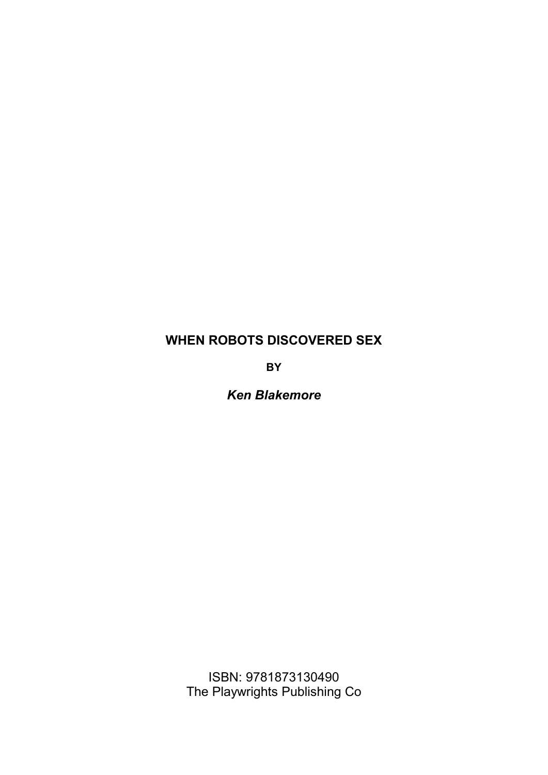# **WHEN ROBOTS DISCOVERED SEX**

**BY**

*Ken Blakemore*

ISBN: 9781873130490 The Playwrights Publishing Co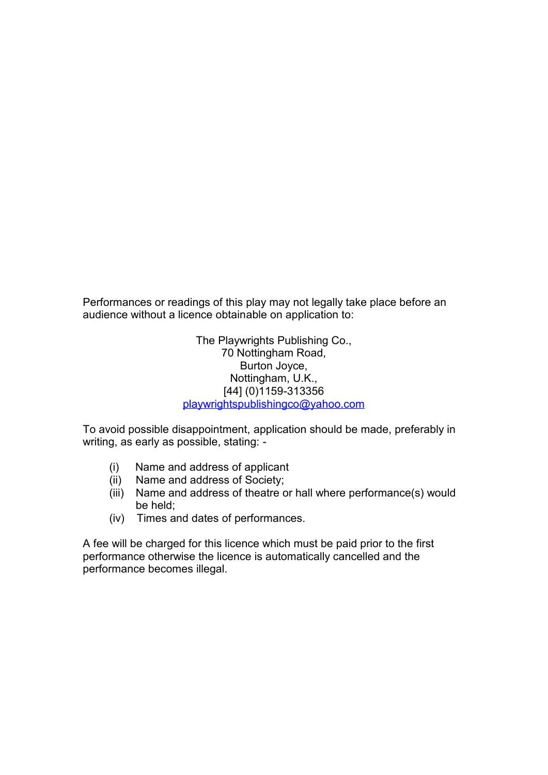Performances or readings of this play may not legally take place before an audience without a licence obtainable on application to:

> The Playwrights Publishing Co., 70 Nottingham Road, Burton Joyce, Nottingham, U.K., [44] (0)1159-313356 playwrightspublishingco@yahoo.com

To avoid possible disappointment, application should be made, preferably in writing, as early as possible, stating: -

- (i) Name and address of applicant
- Name and address of Society;
- (iii) Name and address of theatre or hall where performance(s) would be held;
- (iv) Times and dates of performances.

A fee will be charged for this licence which must be paid prior to the first performance otherwise the licence is automatically cancelled and the performance becomes illegal.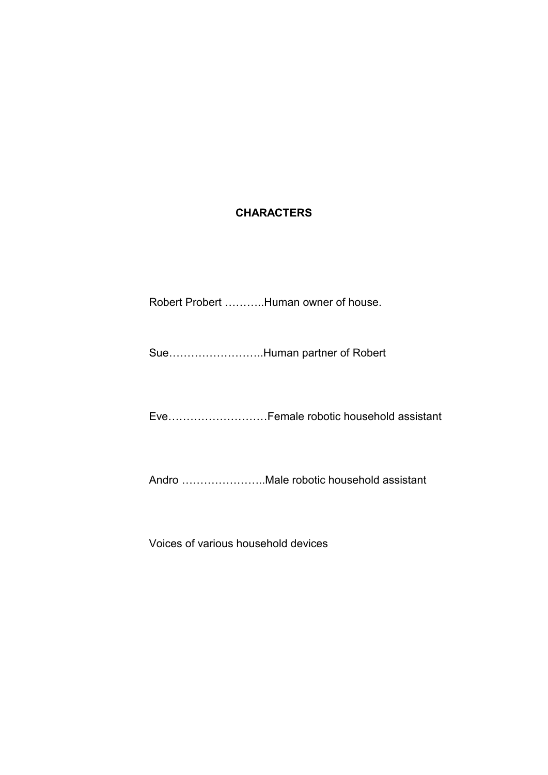## **CHARACTERS**

Robert Probert ………..Human owner of house.

Sue……………………..Human partner of Robert

Eve………………………Female robotic household assistant

Andro …………………..Male robotic household assistant

Voices of various household devices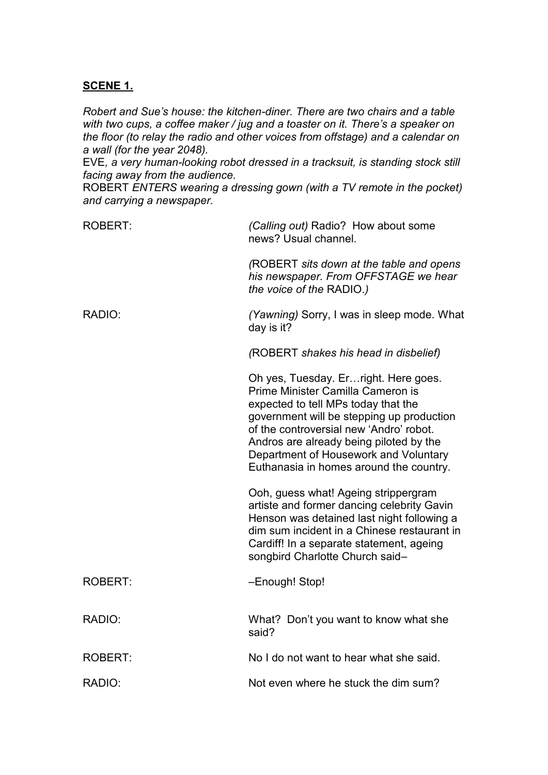## **SCENE 1.**

*Robert and Sue's house: the kitchen-diner. There are two chairs and a table with two cups, a coffee maker / jug and a toaster on it. There's a speaker on the floor (to relay the radio and other voices from offstage) and a calendar on a wall (for the year 2048).*

EVE*, a very human-looking robot dressed in a tracksuit, is standing stock still facing away from the audience.*

ROBERT *ENTERS wearing a dressing gown (with a TV remote in the pocket) and carrying a newspaper.*

| <b>ROBERT:</b> | (Calling out) Radio? How about some<br>news? Usual channel.                                                                                                                                                                                                                                                                              |
|----------------|------------------------------------------------------------------------------------------------------------------------------------------------------------------------------------------------------------------------------------------------------------------------------------------------------------------------------------------|
|                | (ROBERT sits down at the table and opens<br>his newspaper. From OFFSTAGE we hear<br>the voice of the RADIO.)                                                                                                                                                                                                                             |
| RADIO:         | (Yawning) Sorry, I was in sleep mode. What<br>day is it?                                                                                                                                                                                                                                                                                 |
|                | (ROBERT shakes his head in disbelief)                                                                                                                                                                                                                                                                                                    |
|                | Oh yes, Tuesday. Er right. Here goes.<br>Prime Minister Camilla Cameron is<br>expected to tell MPs today that the<br>government will be stepping up production<br>of the controversial new 'Andro' robot.<br>Andros are already being piloted by the<br>Department of Housework and Voluntary<br>Euthanasia in homes around the country. |
|                | Ooh, guess what! Ageing strippergram<br>artiste and former dancing celebrity Gavin<br>Henson was detained last night following a<br>dim sum incident in a Chinese restaurant in<br>Cardiff! In a separate statement, ageing<br>songbird Charlotte Church said-                                                                           |
| <b>ROBERT:</b> | -Enough! Stop!                                                                                                                                                                                                                                                                                                                           |
| RADIO:         | What? Don't you want to know what she<br>said?                                                                                                                                                                                                                                                                                           |
| <b>ROBERT:</b> | No I do not want to hear what she said.                                                                                                                                                                                                                                                                                                  |
| RADIO:         | Not even where he stuck the dim sum?                                                                                                                                                                                                                                                                                                     |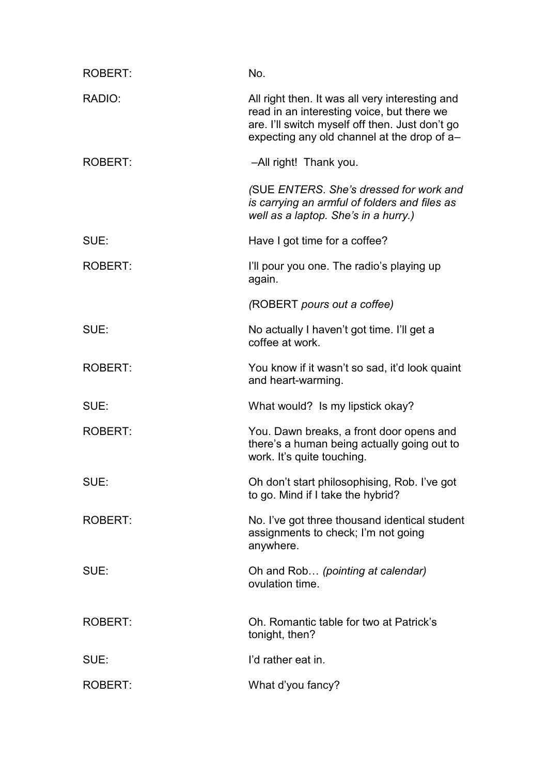| <b>ROBERT:</b> | No.                                                                                                                                                                                             |
|----------------|-------------------------------------------------------------------------------------------------------------------------------------------------------------------------------------------------|
| RADIO:         | All right then. It was all very interesting and<br>read in an interesting voice, but there we<br>are. I'll switch myself off then. Just don't go<br>expecting any old channel at the drop of a- |
| ROBERT:        | -All right! Thank you.                                                                                                                                                                          |
|                | (SUE ENTERS. She's dressed for work and<br>is carrying an armful of folders and files as<br>well as a laptop. She's in a hurry.)                                                                |
| SUE:           | Have I got time for a coffee?                                                                                                                                                                   |
| <b>ROBERT:</b> | I'll pour you one. The radio's playing up<br>again.                                                                                                                                             |
|                | (ROBERT pours out a coffee)                                                                                                                                                                     |
| SUE:           | No actually I haven't got time. I'll get a<br>coffee at work.                                                                                                                                   |
| <b>ROBERT:</b> | You know if it wasn't so sad, it'd look quaint<br>and heart-warming.                                                                                                                            |
| SUE:           | What would? Is my lipstick okay?                                                                                                                                                                |
| <b>ROBERT:</b> | You. Dawn breaks, a front door opens and<br>there's a human being actually going out to<br>work. It's quite touching.                                                                           |
| SUE:           | Oh don't start philosophising, Rob. I've got<br>to go. Mind if I take the hybrid?                                                                                                               |
| <b>ROBERT:</b> | No. I've got three thousand identical student<br>assignments to check; I'm not going<br>anywhere.                                                                                               |
| SUE:           | Oh and Rob (pointing at calendar)<br>ovulation time.                                                                                                                                            |
| <b>ROBERT:</b> | Oh. Romantic table for two at Patrick's<br>tonight, then?                                                                                                                                       |
| SUE:           | I'd rather eat in.                                                                                                                                                                              |
| <b>ROBERT:</b> | What d'you fancy?                                                                                                                                                                               |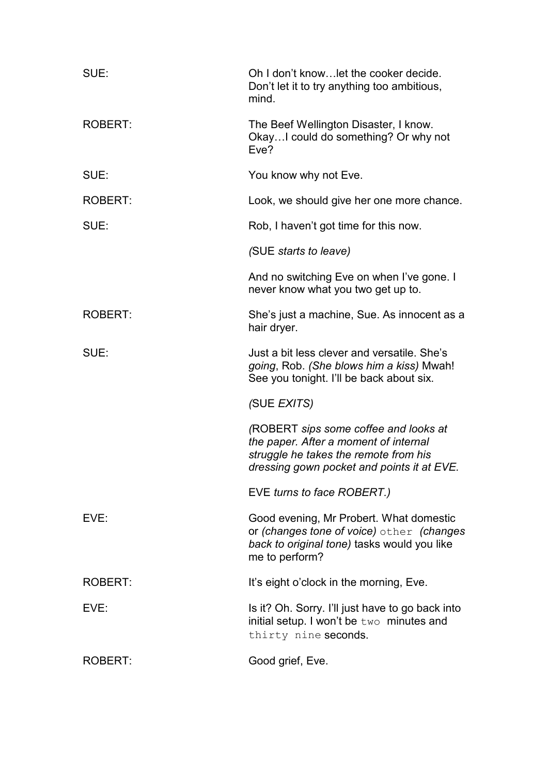| SUE:           | Oh I don't know let the cooker decide.<br>Don't let it to try anything too ambitious,<br>mind.                                                                        |
|----------------|-----------------------------------------------------------------------------------------------------------------------------------------------------------------------|
| <b>ROBERT:</b> | The Beef Wellington Disaster, I know.<br>Okay I could do something? Or why not<br>Eve?                                                                                |
| SUE:           | You know why not Eve.                                                                                                                                                 |
| <b>ROBERT:</b> | Look, we should give her one more chance.                                                                                                                             |
| SUE:           | Rob, I haven't got time for this now.                                                                                                                                 |
|                | (SUE starts to leave)                                                                                                                                                 |
|                | And no switching Eve on when I've gone. I<br>never know what you two get up to.                                                                                       |
| <b>ROBERT:</b> | She's just a machine, Sue. As innocent as a<br>hair dryer.                                                                                                            |
| SUE:           | Just a bit less clever and versatile. She's<br>going, Rob. (She blows him a kiss) Mwah!<br>See you tonight. I'll be back about six.                                   |
|                | (SUE EXITS)                                                                                                                                                           |
|                | (ROBERT sips some coffee and looks at<br>the paper. After a moment of internal<br>struggle he takes the remote from his<br>dressing gown pocket and points it at EVE. |
|                | EVE turns to face ROBERT.)                                                                                                                                            |
| EVE:           | Good evening, Mr Probert. What domestic<br>or (changes tone of voice) other (changes<br>back to original tone) tasks would you like<br>me to perform?                 |
| <b>ROBERT:</b> | It's eight o'clock in the morning, Eve.                                                                                                                               |
| EVE:           | Is it? Oh. Sorry. I'll just have to go back into<br>initial setup. I won't be two minutes and<br>thirty nine seconds.                                                 |
| ROBERT:        | Good grief, Eve.                                                                                                                                                      |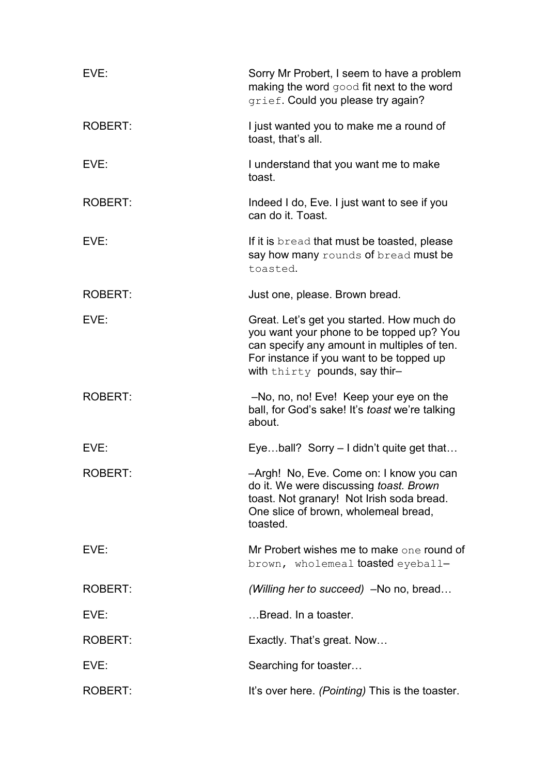| EVE:           | Sorry Mr Probert, I seem to have a problem<br>making the word good fit next to the word<br>grief. Could you please try again?                                                                                     |
|----------------|-------------------------------------------------------------------------------------------------------------------------------------------------------------------------------------------------------------------|
| <b>ROBERT:</b> | I just wanted you to make me a round of<br>toast, that's all.                                                                                                                                                     |
| EVE:           | I understand that you want me to make<br>toast.                                                                                                                                                                   |
| <b>ROBERT:</b> | Indeed I do, Eve. I just want to see if you<br>can do it. Toast.                                                                                                                                                  |
| EVE:           | If it is bread that must be toasted, please<br>say how many rounds of bread must be<br>toasted.                                                                                                                   |
| <b>ROBERT:</b> | Just one, please. Brown bread.                                                                                                                                                                                    |
| EVE:           | Great. Let's get you started. How much do<br>you want your phone to be topped up? You<br>can specify any amount in multiples of ten.<br>For instance if you want to be topped up<br>with thirty pounds, say thir- |
| <b>ROBERT:</b> | -No, no, no! Eve! Keep your eye on the<br>ball, for God's sake! It's <i>toast</i> we're talking<br>about.                                                                                                         |
| EVE:           | Eyeball? Sorry $-1$ didn't quite get that                                                                                                                                                                         |
| ROBERT:        | -Argh! No, Eve. Come on: I know you can<br>do it. We were discussing toast. Brown<br>toast. Not granary! Not Irish soda bread.<br>One slice of brown, wholemeal bread,<br>toasted.                                |
| EVE:           | Mr Probert wishes me to make one round of<br>brown, wholemeal <b>toasted</b> eyeball-                                                                                                                             |
| <b>ROBERT:</b> | (Willing her to succeed) -No no, bread                                                                                                                                                                            |
| EVE:           | Bread. In a toaster.                                                                                                                                                                                              |
| <b>ROBERT:</b> | Exactly. That's great. Now                                                                                                                                                                                        |
| EVE:           | Searching for toaster                                                                                                                                                                                             |
| ROBERT:        | It's over here. (Pointing) This is the toaster.                                                                                                                                                                   |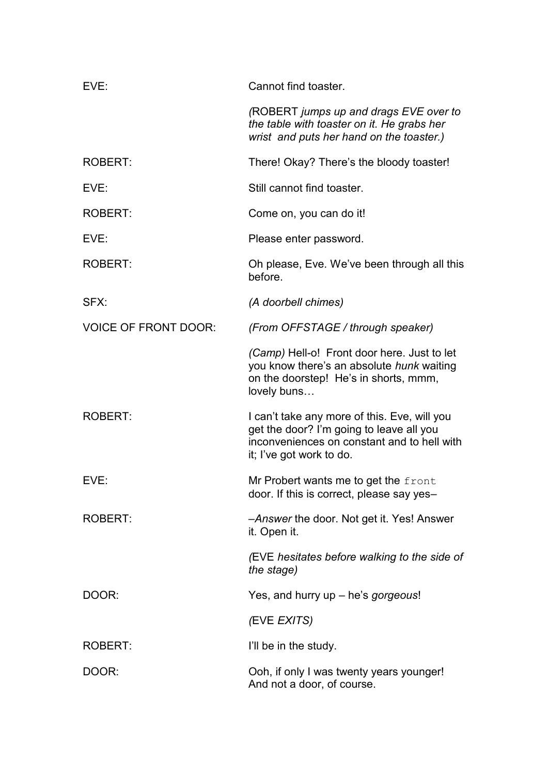| EVE:                        | Cannot find toaster.                                                                                                                                                |
|-----------------------------|---------------------------------------------------------------------------------------------------------------------------------------------------------------------|
|                             | (ROBERT jumps up and drags EVE over to<br>the table with toaster on it. He grabs her<br>wrist and puts her hand on the toaster.)                                    |
| <b>ROBERT:</b>              | There! Okay? There's the bloody toaster!                                                                                                                            |
| EVE:                        | Still cannot find toaster.                                                                                                                                          |
| <b>ROBERT:</b>              | Come on, you can do it!                                                                                                                                             |
| EVE:                        | Please enter password.                                                                                                                                              |
| <b>ROBERT:</b>              | Oh please, Eve. We've been through all this<br>before.                                                                                                              |
| SFX:                        | (A doorbell chimes)                                                                                                                                                 |
| <b>VOICE OF FRONT DOOR:</b> | (From OFFSTAGE / through speaker)                                                                                                                                   |
|                             | <i>(Camp)</i> Hell-o! Front door here. Just to let<br>you know there's an absolute hunk waiting<br>on the doorstep! He's in shorts, mmm,<br>lovely buns             |
| <b>ROBERT:</b>              | I can't take any more of this. Eve, will you<br>get the door? I'm going to leave all you<br>inconveniences on constant and to hell with<br>it; I've got work to do. |
| EVE:                        | Mr Probert wants me to get the front<br>door. If this is correct, please say yes-                                                                                   |
| ROBERT:                     | -Answer the door. Not get it. Yes! Answer<br>it. Open it.                                                                                                           |
|                             | (EVE hesitates before walking to the side of<br>the stage)                                                                                                          |
| DOOR:                       | Yes, and hurry up - he's gorgeous!                                                                                                                                  |
|                             | (EVE EXITS)                                                                                                                                                         |
| <b>ROBERT:</b>              | I'll be in the study.                                                                                                                                               |
| DOOR:                       | Ooh, if only I was twenty years younger!<br>And not a door, of course.                                                                                              |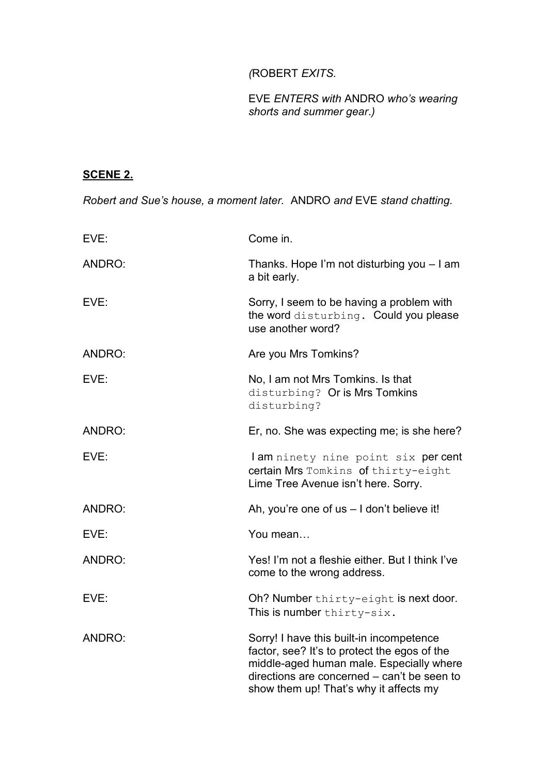# *(*ROBERT *EXITS.*

## EVE *ENTERS with* ANDRO *who's wearing shorts and summer gear*.*)*

# **SCENE 2.**

*Robert and Sue's house, a moment later.* ANDRO *and* EVE *stand chatting.*

| EVE:   | Come in.                                                                                                                                                                                                                      |
|--------|-------------------------------------------------------------------------------------------------------------------------------------------------------------------------------------------------------------------------------|
| ANDRO: | Thanks. Hope I'm not disturbing you - I am<br>a bit early.                                                                                                                                                                    |
| EVE:   | Sorry, I seem to be having a problem with<br>the word disturbing. Could you please<br>use another word?                                                                                                                       |
| ANDRO: | Are you Mrs Tomkins?                                                                                                                                                                                                          |
| EVE:   | No, I am not Mrs Tomkins. Is that<br>disturbing? Or is Mrs Tomkins<br>disturbing?                                                                                                                                             |
| ANDRO: | Er, no. She was expecting me; is she here?                                                                                                                                                                                    |
| EVE:   | I am ninety nine point six per cent<br>certain Mrs Tomkins of thirty-eight<br>Lime Tree Avenue isn't here. Sorry.                                                                                                             |
| ANDRO: | Ah, you're one of us - I don't believe it!                                                                                                                                                                                    |
| EVE:   | You mean                                                                                                                                                                                                                      |
| ANDRO: | Yes! I'm not a fleshie either. But I think I've<br>come to the wrong address.                                                                                                                                                 |
| EVE:   | Oh? Number thirty-eight is next door.<br>This is number thirty-six.                                                                                                                                                           |
| ANDRO: | Sorry! I have this built-in incompetence<br>factor, see? It's to protect the egos of the<br>middle-aged human male. Especially where<br>directions are concerned – can't be seen to<br>show them up! That's why it affects my |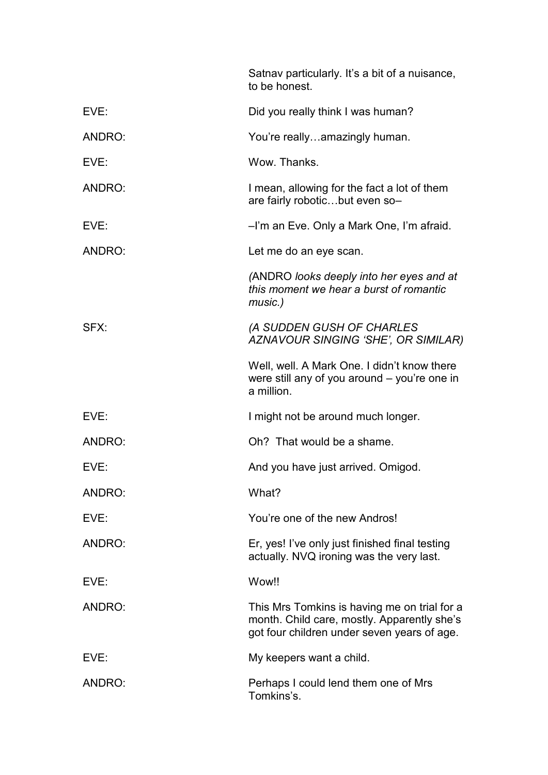|        | Satnav particularly. It's a bit of a nuisance,<br>to be honest.                                                                            |
|--------|--------------------------------------------------------------------------------------------------------------------------------------------|
| EVE:   | Did you really think I was human?                                                                                                          |
| ANDRO: | You're reallyamazingly human.                                                                                                              |
| EVE:   | Wow. Thanks.                                                                                                                               |
| ANDRO: | I mean, allowing for the fact a lot of them<br>are fairly roboticbut even so-                                                              |
| EVE:   | -I'm an Eve. Only a Mark One, I'm afraid.                                                                                                  |
| ANDRO: | Let me do an eye scan.                                                                                                                     |
|        | (ANDRO looks deeply into her eyes and at<br>this moment we hear a burst of romantic<br>music.)                                             |
| SFX:   | (A SUDDEN GUSH OF CHARLES<br>AZNAVOUR SINGING 'SHE', OR SIMILAR)                                                                           |
|        | Well, well. A Mark One. I didn't know there<br>were still any of you around – you're one in<br>a million.                                  |
| EVE:   | I might not be around much longer.                                                                                                         |
| ANDRO: | Oh? That would be a shame.                                                                                                                 |
| EVE:   | And you have just arrived. Omigod.                                                                                                         |
| ANDRO: | What?                                                                                                                                      |
| EVE:   | You're one of the new Andros!                                                                                                              |
| ANDRO: | Er, yes! I've only just finished final testing<br>actually. NVQ ironing was the very last.                                                 |
| EVE:   | Wow!!                                                                                                                                      |
| ANDRO: | This Mrs Tomkins is having me on trial for a<br>month. Child care, mostly. Apparently she's<br>got four children under seven years of age. |
| EVE:   | My keepers want a child.                                                                                                                   |
| ANDRO: | Perhaps I could lend them one of Mrs<br>Tomkins's.                                                                                         |